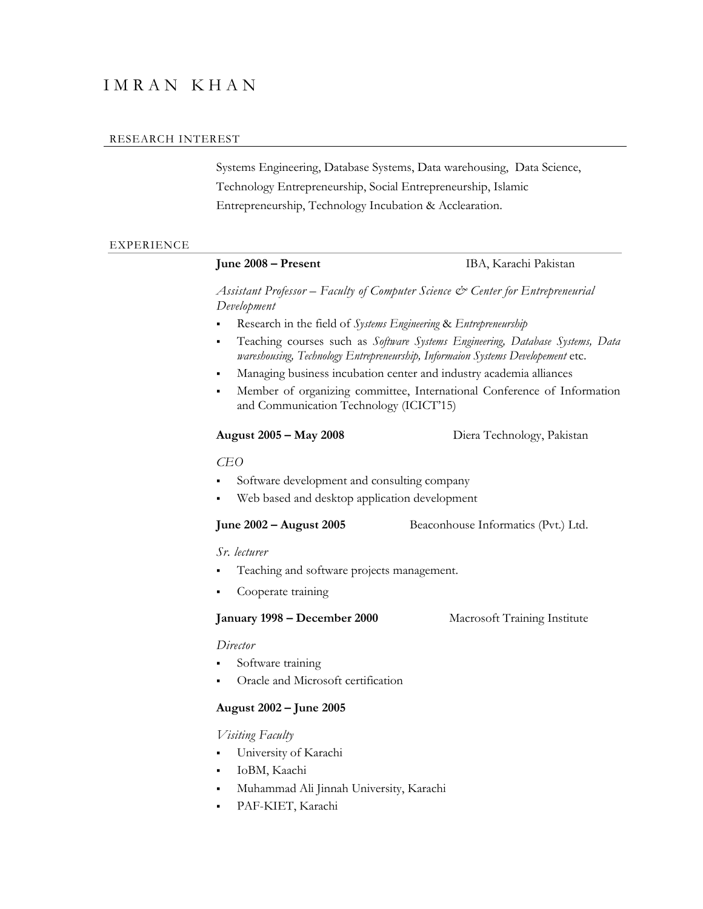# I M R A N K H A N

#### RESEARCH INTEREST

Systems Engineering, Database Systems, Data warehousing, Data Science, Technology Entrepreneurship, Social Entrepreneurship, Islamic Entrepreneurship, Technology Incubation & Acclearation.

### EXPERIENCE

# **June 2008 – Present** IBA, Karachi Pakistan *Assistant Professor – Faculty of Computer Science & Center for Entrepreneurial Development* Research in the field of *Systems Engineering* & *Entrepreneurship* Teaching courses such as *Software Systems Engineering, Database Systems, Data wareshousing, Technology Entrepreneurship, Informaion Systems Developement* etc. Managing business incubation center and industry academia alliances Member of organizing committee, International Conference of Information and Communication Technology (ICICT'15) **August 2005 – May 2008** Diera Technology, Pakistan *CEO* Software development and consulting company Web based and desktop application development **June 2002 – August 2005** Beaconhouse Informatics (Pvt.) Ltd. *Sr. lecturer*  Teaching and software projects management. Cooperate training **January 1998 – December 2000** Macrosoft Training Institute *Director* Software training Oracle and Microsoft certification **August 2002 – June 2005** *Visiting Faculty*

University of Karachi

- IoBM, Kaachi
- Muhammad Ali Jinnah University, Karachi
- PAF-KIET, Karachi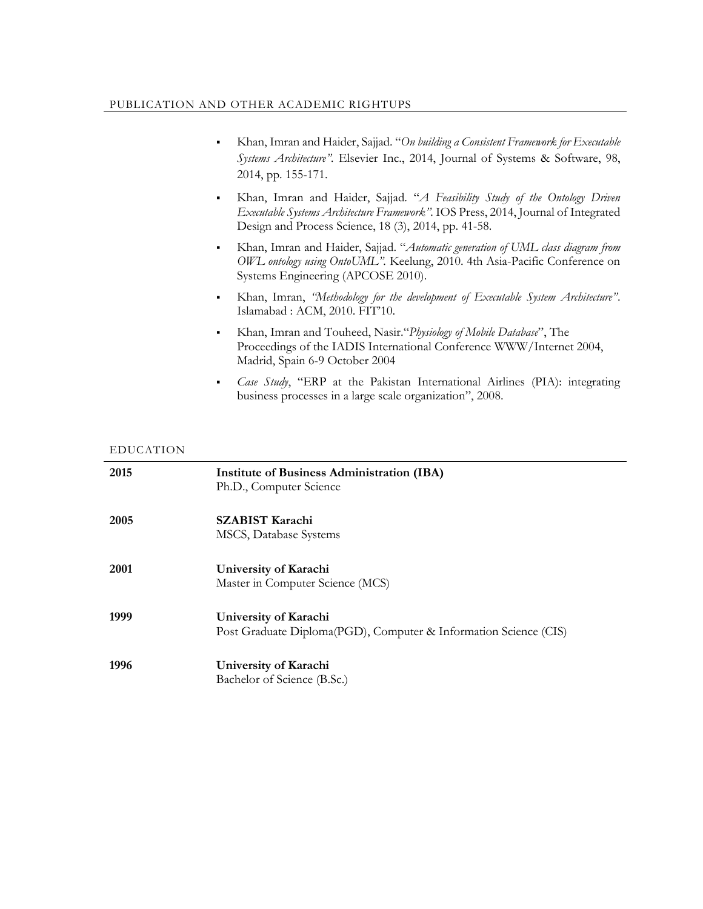- Khan, Imran and Haider, Sajjad. "*On building a Consistent Framework for Executable Systems Architecture".* Elsevier Inc., 2014, Journal of Systems & Software, 98, 2014, pp. 155-171.
- Khan, Imran and Haider, Sajjad. "*[A Feasibility Study of the Ontology Driven](http://iospress.metapress.com/content/m8203711wn155j2v/)  [Executable Systems Architecture Framework](http://iospress.metapress.com/content/m8203711wn155j2v/)".* IOS Press, 2014, [Journal of Integrated](http://iospress.metapress.com/content/300375/?p=ff0b200b852d4968af52e91363bfc739&pi=0)  [Design and Process Science,](http://iospress.metapress.com/content/300375/?p=ff0b200b852d4968af52e91363bfc739&pi=0) 18 (3), 2014, pp. 41-58.
- Khan, Imran and Haider, Sajjad. "*Automatic generation of UML class diagram from OWL ontology using OntoUML".* Keelung, 2010. 4th Asia-Pacific Conference on Systems Engineering (APCOSE 2010).
- Khan, Imran, *"Methodology for the development of Executable System Architecture"*. Islamabad : ACM, 2010. FIT'10.
- Khan, Imran and Touheed, Nasir."*Physiology of Mobile Database*", The Proceedings of the IADIS International Conference WWW/Internet 2004, Madrid, Spain 6-9 October 2004
- *Case Study*, "ERP at the Pakistan International Airlines (PIA): integrating business processes in a large scale organization", 2008.

## EDUCATION

| 2015 | <b>Institute of Business Administration (IBA)</b><br>Ph.D., Computer Science |
|------|------------------------------------------------------------------------------|
| 2005 | <b>SZABIST Karachi</b>                                                       |
|      | MSCS, Database Systems                                                       |
| 2001 | University of Karachi                                                        |
|      | Master in Computer Science (MCS)                                             |
| 1999 | University of Karachi                                                        |
|      | Post Graduate Diploma(PGD), Computer & Information Science (CIS)             |
| 1996 | University of Karachi                                                        |
|      | Bachelor of Science (B.Sc.)                                                  |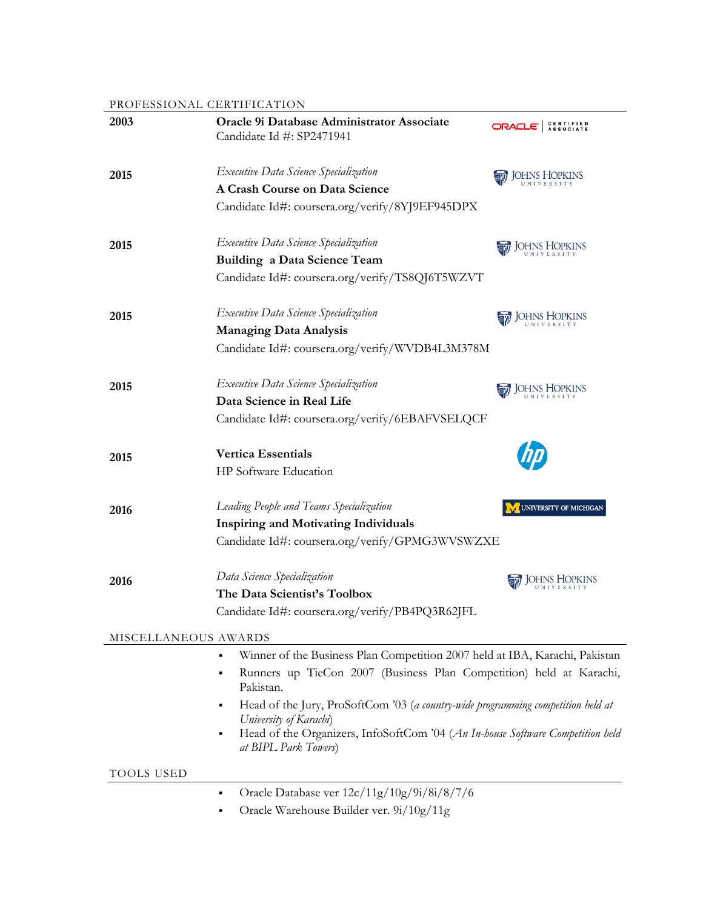## PROFESSIONAL CERTIFICATION

| 2003                 | Oracle 9i Database Administrator Associate<br>Candidate Id #: SP2471941                                                                                                                                                                                                                                                                                                                                     | ORACI                         |
|----------------------|-------------------------------------------------------------------------------------------------------------------------------------------------------------------------------------------------------------------------------------------------------------------------------------------------------------------------------------------------------------------------------------------------------------|-------------------------------|
| 2015                 | Executive Data Science Specialization<br>A Crash Course on Data Science<br>Candidate Id#: coursera.org/verify/8YJ9EF945DPX                                                                                                                                                                                                                                                                                  | <b>JOHNS HOPKINS</b>          |
| 2015                 | Executive Data Science Specialization<br><b>Building a Data Science Team</b><br>Candidate Id#: coursera.org/verify/TS8QJ6T5WZVT                                                                                                                                                                                                                                                                             | <b>JOHNS HOPKINS</b>          |
| 2015                 | Executive Data Science Specialization<br><b>Managing Data Analysis</b><br>Candidate Id#: coursera.org/verify/WVDB4L3M378M                                                                                                                                                                                                                                                                                   | OHNS HOPKINS                  |
| 2015                 | Executive Data Science Specialization<br>Data Science in Real Life<br>Candidate Id#: coursera.org/verify/6EBAFVSELQCF                                                                                                                                                                                                                                                                                       |                               |
| 2015                 | <b>Vertica Essentials</b><br>HP Software Education                                                                                                                                                                                                                                                                                                                                                          |                               |
| 2016                 | Leading People and Teams Specialization<br><b>Inspiring and Motivating Individuals</b><br>Candidate Id#: coursera.org/verify/GPMG3WVSWZXE                                                                                                                                                                                                                                                                   | <b>UNIVERSITY OF MICHIGAN</b> |
| 2016                 | Data Science Specialization<br>The Data Scientist's Toolbox<br>Candidate Id#: coursera.org/verify/PB4PQ3R62JFL                                                                                                                                                                                                                                                                                              |                               |
| MISCELLANEOUS AWARDS |                                                                                                                                                                                                                                                                                                                                                                                                             |                               |
|                      | Winner of the Business Plan Competition 2007 held at IBA, Karachi, Pakistan<br>٠<br>Runners up TieCon 2007 (Business Plan Competition) held at Karachi,<br>٠<br>Pakistan.<br>Head of the Jury, ProSoftCom '03 (a country-wide programming competition held at<br>٠<br>University of Karachi)<br>Head of the Organizers, InfoSoftCom '04 (An In-house Software Competition held<br>٠<br>at BIPL Park Towers) |                               |
| TOOLS USED           |                                                                                                                                                                                                                                                                                                                                                                                                             |                               |
|                      | Oracle Database ver 12c/11g/10g/9i/8i/8/7/6<br>٠<br>Oracle Warehouse Builder ver. 9i/10g/11g<br>٠                                                                                                                                                                                                                                                                                                           |                               |